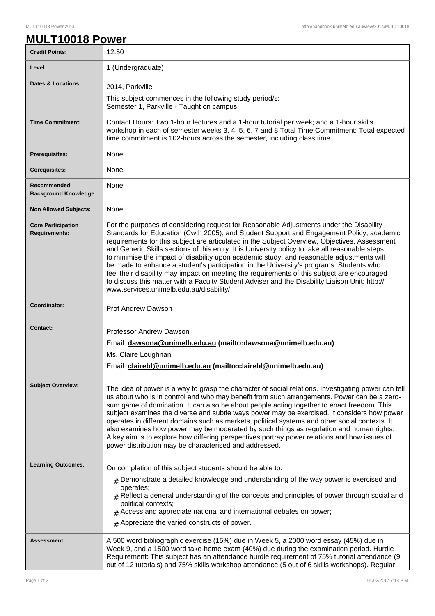## **MULT10018 Power**

| <b>Credit Points:</b>                             | 12.50                                                                                                                                                                                                                                                                                                                                                                                                                                                                                                                                                                                                                                                                                                                                                                                                                       |
|---------------------------------------------------|-----------------------------------------------------------------------------------------------------------------------------------------------------------------------------------------------------------------------------------------------------------------------------------------------------------------------------------------------------------------------------------------------------------------------------------------------------------------------------------------------------------------------------------------------------------------------------------------------------------------------------------------------------------------------------------------------------------------------------------------------------------------------------------------------------------------------------|
| Level:                                            | 1 (Undergraduate)                                                                                                                                                                                                                                                                                                                                                                                                                                                                                                                                                                                                                                                                                                                                                                                                           |
| <b>Dates &amp; Locations:</b>                     | 2014, Parkville                                                                                                                                                                                                                                                                                                                                                                                                                                                                                                                                                                                                                                                                                                                                                                                                             |
|                                                   | This subject commences in the following study period/s:<br>Semester 1, Parkville - Taught on campus.                                                                                                                                                                                                                                                                                                                                                                                                                                                                                                                                                                                                                                                                                                                        |
| <b>Time Commitment:</b>                           | Contact Hours: Two 1-hour lectures and a 1-hour tutorial per week; and a 1-hour skills<br>workshop in each of semester weeks 3, 4, 5, 6, 7 and 8 Total Time Commitment: Total expected<br>time commitment is 102-hours across the semester, including class time.                                                                                                                                                                                                                                                                                                                                                                                                                                                                                                                                                           |
| <b>Prerequisites:</b>                             | None                                                                                                                                                                                                                                                                                                                                                                                                                                                                                                                                                                                                                                                                                                                                                                                                                        |
| <b>Corequisites:</b>                              | None                                                                                                                                                                                                                                                                                                                                                                                                                                                                                                                                                                                                                                                                                                                                                                                                                        |
| Recommended<br><b>Background Knowledge:</b>       | None                                                                                                                                                                                                                                                                                                                                                                                                                                                                                                                                                                                                                                                                                                                                                                                                                        |
| <b>Non Allowed Subjects:</b>                      | None                                                                                                                                                                                                                                                                                                                                                                                                                                                                                                                                                                                                                                                                                                                                                                                                                        |
| <b>Core Participation</b><br><b>Requirements:</b> | For the purposes of considering request for Reasonable Adjustments under the Disability<br>Standards for Education (Cwth 2005), and Student Support and Engagement Policy, academic<br>requirements for this subject are articulated in the Subject Overview, Objectives, Assessment<br>and Generic Skills sections of this entry. It is University policy to take all reasonable steps<br>to minimise the impact of disability upon academic study, and reasonable adjustments will<br>be made to enhance a student's participation in the University's programs. Students who<br>feel their disability may impact on meeting the requirements of this subject are encouraged<br>to discuss this matter with a Faculty Student Adviser and the Disability Liaison Unit: http://<br>www.services.unimelb.edu.au/disability/ |
| Coordinator:                                      | Prof Andrew Dawson                                                                                                                                                                                                                                                                                                                                                                                                                                                                                                                                                                                                                                                                                                                                                                                                          |
| <b>Contact:</b>                                   | Professor Andrew Dawson<br>Email: dawsona@unimelb.edu.au (mailto:dawsona@unimelb.edu.au)<br>Ms. Claire Loughnan<br>Email: clairebl@unimelb.edu.au (mailto:clairebl@unimelb.edu.au)                                                                                                                                                                                                                                                                                                                                                                                                                                                                                                                                                                                                                                          |
| <b>Subject Overview:</b>                          | The idea of power is a way to grasp the character of social relations. Investigating power can tell<br>us about who is in control and who may benefit from such arrangements. Power can be a zero-<br>sum game of domination. It can also be about people acting together to enact freedom. This<br>subject examines the diverse and subtle ways power may be exercised. It considers how power<br>operates in different domains such as markets, political systems and other social contexts. It<br>also examines how power may be moderated by such things as regulation and human rights.<br>A key aim is to explore how differing perspectives portray power relations and how issues of<br>power distribution may be characterised and addressed.                                                                      |
| <b>Learning Outcomes:</b>                         | On completion of this subject students should be able to:<br>$_{\rm #}$ Demonstrate a detailed knowledge and understanding of the way power is exercised and<br>operates;<br>$#$ Reflect a general understanding of the concepts and principles of power through social and<br>political contexts;<br>$#$ Access and appreciate national and international debates on power;<br>$#$ Appreciate the varied constructs of power.                                                                                                                                                                                                                                                                                                                                                                                              |
| <b>Assessment:</b>                                | A 500 word bibliographic exercise (15%) due in Week 5, a 2000 word essay (45%) due in<br>Week 9, and a 1500 word take-home exam (40%) due during the examination period. Hurdle<br>Requirement: This subject has an attendance hurdle requirement of 75% tutorial attendance (9<br>out of 12 tutorials) and 75% skills workshop attendance (5 out of 6 skills workshops). Regular                                                                                                                                                                                                                                                                                                                                                                                                                                           |